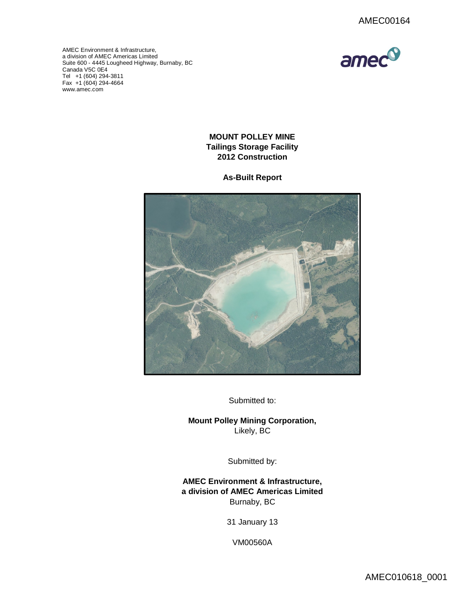

AMEC Environment & Infrastructure, a division of AMEC Americas Limited Suite 600 - 4445 Lougheed Highway, Burnaby, BC [Canada V5C 0](http://www.amec.com)E4 Tel +1 (604) 294-3811 Fax +1 (604) 294-4664 www.amec.com

# **MOUNT POLLEY MINE Tailings Storage Facility 2012 Construction**

## **As-Built Report**



Submitted to:

**Mount Polley Mining Corporation,** Likely, BC

Submitted by:

**AMEC Environment & Infrastructure, a division of AMEC Americas Limited** Burnaby, BC

31 January 13

VM00560A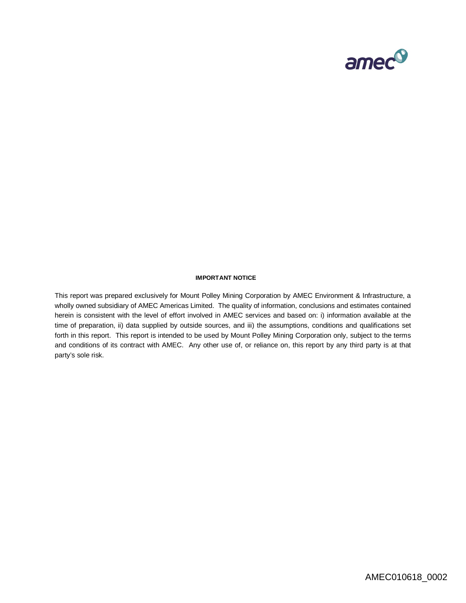

#### **IMPORTANT NOTICE**

This report was prepared exclusively for Mount Polley Mining Corporation by AMEC Environment & Infrastructure, a wholly owned subsidiary of AMEC Americas Limited. The quality of information, conclusions and estimates contained herein is consistent with the level of effort involved in AMEC services and based on: i) information available at the time of preparation, ii) data supplied by outside sources, and iii) the assumptions, conditions and qualifications set forth in this report. This report is intended to be used by Mount Polley Mining Corporation only, subject to the terms and conditions of its contract with AMEC. Any other use of, or reliance on, this report by any third party is at that party's sole risk.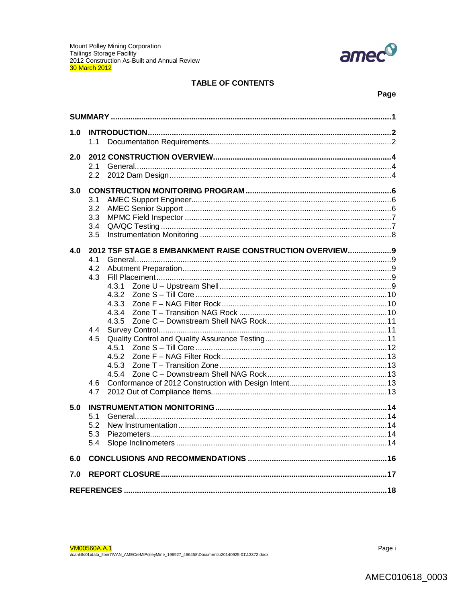

# **TABLE OF CONTENTS**

## Page

| 1.0 |                                                           |       |  |  |
|-----|-----------------------------------------------------------|-------|--|--|
|     | 1.1                                                       |       |  |  |
| 2.0 |                                                           |       |  |  |
|     | 2.1                                                       |       |  |  |
|     | 2.2                                                       |       |  |  |
| 3.0 |                                                           |       |  |  |
|     | 3.1                                                       |       |  |  |
|     | 3.2                                                       |       |  |  |
|     | 3.3                                                       |       |  |  |
|     | 3.4                                                       |       |  |  |
|     | 3.5                                                       |       |  |  |
| 4.0 | 2012 TSF STAGE 8 EMBANKMENT RAISE CONSTRUCTION OVERVIEW 9 |       |  |  |
|     | 4.1                                                       |       |  |  |
|     | 4.2                                                       |       |  |  |
|     | 4.3                                                       |       |  |  |
|     |                                                           | 4.3.1 |  |  |
|     |                                                           | 4.3.2 |  |  |
|     |                                                           | 4.3.3 |  |  |
|     |                                                           | 4.3.4 |  |  |
|     |                                                           | 4.3.5 |  |  |
|     | 4.5                                                       |       |  |  |
|     |                                                           | 4.5.1 |  |  |
|     |                                                           | 4.5.2 |  |  |
|     |                                                           | 4.5.3 |  |  |
|     |                                                           | 4.5.4 |  |  |
|     | 4.6                                                       |       |  |  |
|     | 4.7                                                       |       |  |  |
| 5.0 |                                                           |       |  |  |
|     | 5.1                                                       |       |  |  |
|     | 5.2                                                       |       |  |  |
|     | 5.3                                                       |       |  |  |
|     | 5.4                                                       |       |  |  |
| 6.0 |                                                           |       |  |  |
| 7.0 |                                                           |       |  |  |
|     |                                                           |       |  |  |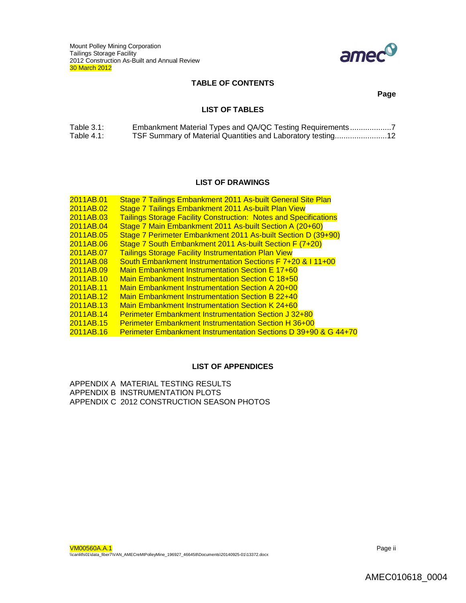

## **TABLE OF CONTENTS**

**Page**

# **LIST OF TABLES**

| Table $3.1$ : | Embankment Material Types and QA/QC Testing Requirements    |
|---------------|-------------------------------------------------------------|
| Table $4.1$ : | TSF Summary of Material Quantities and Laboratory testing12 |

# **LIST OF DRAWINGS**

| 2011AB.01 | Stage 7 Tailings Embankment 2011 As-built General Site Plan                |
|-----------|----------------------------------------------------------------------------|
| 2011AB.02 | Stage 7 Tailings Embankment 2011 As-built Plan View                        |
| 2011AB.03 | <b>Tailings Storage Facility Construction: Notes and Specifications</b>    |
| 2011AB.04 | Stage 7 Main Embankment 2011 As-built Section A (20+60)                    |
| 2011AB.05 | Stage 7 Perimeter Embankment 2011 As-built Section D (39+90)               |
| 2011AB.06 | Stage 7 South Embankment 2011 As-built Section F (7+20)                    |
| 2011AB.07 | <b>Tailings Storage Facility Instrumentation Plan View</b>                 |
| 2011AB.08 | South Embankment Instrumentation Sections F 7+20 & I 11+00                 |
| 2011AB.09 | <b>Main Embankment Instrumentation Section E 17+60</b>                     |
| 2011AB.10 | Main Embankment Instrumentation Section C 18+50                            |
| 2011AB.11 | <b>Main Embankment Instrumentation Section A 20+00</b>                     |
| 2011AB.12 | <b>Main Embankment Instrumentation Section B 22+40</b>                     |
| 2011AB.13 | <b>Main Embankment Instrumentation Section K 24+60</b>                     |
| 2011AB.14 | <b>Perimeter Embankment Instrumentation Section J 32+80</b>                |
| 2011AB.15 | <b>Perimeter Embankment Instrumentation Section H 36+00</b>                |
| 2011AB.16 | <b>Perimeter Embankment Instrumentation Sections D 39+90 &amp; G 44+70</b> |
|           |                                                                            |

### **LIST OF APPENDICES**

APPENDIX A MATERIAL TESTING RESULTS APPENDIX B INSTRUMENTATION PLOTS APPENDIX C 2012 CONSTRUCTION SEASON PHOTOS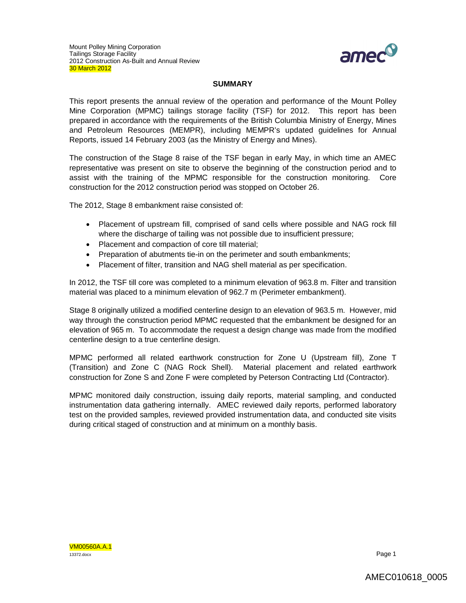

### **SUMMARY**

This report presents the annual review of the operation and performance of the Mount Polley Mine Corporation (MPMC) tailings storage facility (TSF) for 2012. This report has been prepared in accordance with the requirements of the British Columbia Ministry of Energy, Mines and Petroleum Resources (MEMPR), including MEMPR's updated guidelines for Annual Reports, issued 14 February 2003 (as the Ministry of Energy and Mines).

The construction of the Stage 8 raise of the TSF began in early May, in which time an AMEC representative was present on site to observe the beginning of the construction period and to assist with the training of the MPMC responsible for the construction monitoring. Core construction for the 2012 construction period was stopped on October 26.

The 2012, Stage 8 embankment raise consisted of:

- Placement of upstream fill, comprised of sand cells where possible and NAG rock fill where the discharge of tailing was not possible due to insufficient pressure;
- Placement and compaction of core till material;
- Preparation of abutments tie-in on the perimeter and south embankments;
- Placement of filter, transition and NAG shell material as per specification.

In 2012, the TSF till core was completed to a minimum elevation of 963.8 m. Filter and transition material was placed to a minimum elevation of 962.7 m (Perimeter embankment).

Stage 8 originally utilized a modified centerline design to an elevation of 963.5 m. However, mid way through the construction period MPMC requested that the embankment be designed for an elevation of 965 m. To accommodate the request a design change was made from the modified centerline design to a true centerline design.

MPMC performed all related earthwork construction for Zone U (Upstream fill), Zone T (Transition) and Zone C (NAG Rock Shell). Material placement and related earthwork construction for Zone S and Zone F were completed by Peterson Contracting Ltd (Contractor).

MPMC monitored daily construction, issuing daily reports, material sampling, and conducted instrumentation data gathering internally. AMEC reviewed daily reports, performed laboratory test on the provided samples, reviewed provided instrumentation data, and conducted site visits during critical staged of construction and at minimum on a monthly basis.

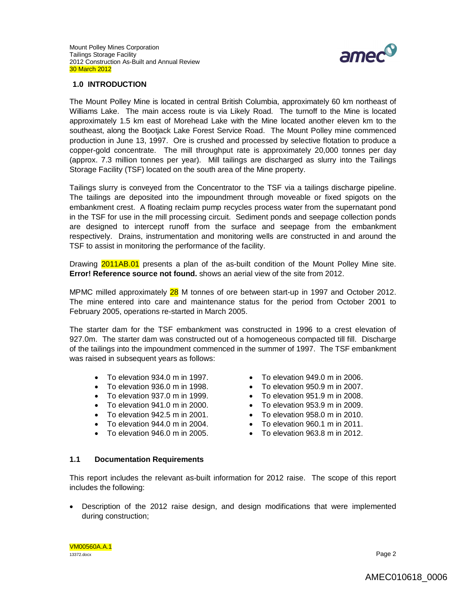

## **1.0 INTRODUCTION**

The Mount Polley Mine is located in central British Columbia, approximately 60 km northeast of Williams Lake. The main access route is via Likely Road. The turnoff to the Mine is located approximately 1.5 km east of Morehead Lake with the Mine located another eleven km to the southeast, along the Bootjack Lake Forest Service Road. The Mount Polley mine commenced production in June 13, 1997. Ore is crushed and processed by selective flotation to produce a copper-gold concentrate. The mill throughput rate is approximately 20,000 tonnes per day (approx. 7.3 million tonnes per year). Mill tailings are discharged as slurry into the Tailings Storage Facility (TSF) located on the south area of the Mine property.

Tailings slurry is conveyed from the Concentrator to the TSF via a tailings discharge pipeline. The tailings are deposited into the impoundment through moveable or fixed spigots on the embankment crest. A floating reclaim pump recycles process water from the supernatant pond in the TSF for use in the mill processing circuit. Sediment ponds and seepage collection ponds are designed to intercept runoff from the surface and seepage from the embankment respectively. Drains, instrumentation and monitoring wells are constructed in and around the TSF to assist in monitoring the performance of the facility.

Drawing 2011AB.01 presents a plan of the as-built condition of the Mount Polley Mine site. **Error! Reference source not found.** shows an aerial view of the site from 2012.

MPMC milled approximately 28 M tonnes of ore between start-up in 1997 and October 2012. The mine entered into care and maintenance status for the period from October 2001 to February 2005, operations re-started in March 2005.

The starter dam for the TSF embankment was constructed in 1996 to a crest elevation of 927.0m. The starter dam was constructed out of a homogeneous compacted till fill. Discharge of the tailings into the impoundment commenced in the summer of 1997. The TSF embankment was raised in subsequent years as follows:

- To elevation 934.0 m in 1997.
- To elevation 936.0 m in 1998.
- To elevation 937.0 m in 1999.
- To elevation 941.0 m in 2000.
- To elevation 942.5 m in 2001.
- To elevation 944.0 m in 2004.
- To elevation 946.0 m in 2005.
- To elevation 949.0 m in 2006.
- To elevation 950.9 m in 2007.
- $\bullet$  To elevation 951.9 m in 2008.
- $\bullet$  To elevation 953.9 m in 2009.
- To elevation 958.0 m in 2010.
- To elevation 960.1 m in 2011.
- To elevation 963.8 m in 2012.

## **1.1 Documentation Requirements**

This report includes the relevant as-built information for 2012 raise. The scope of this report includes the following:

 Description of the 2012 raise design, and design modifications that were implemented during construction;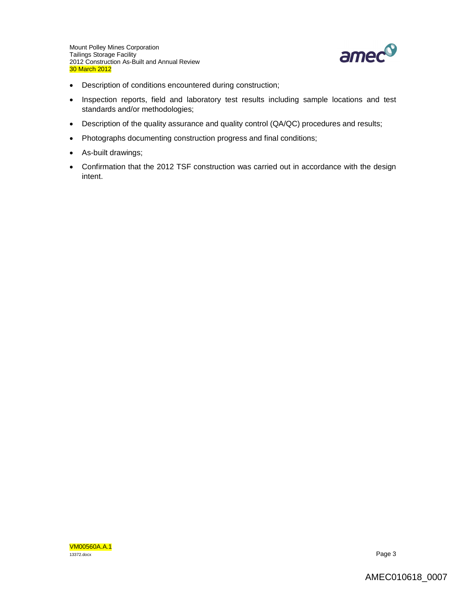

- Description of conditions encountered during construction;
- Inspection reports, field and laboratory test results including sample locations and test standards and/or methodologies;
- Description of the quality assurance and quality control (QA/QC) procedures and results;
- Photographs documenting construction progress and final conditions;
- As-built drawings;
- Confirmation that the 2012 TSF construction was carried out in accordance with the design intent.

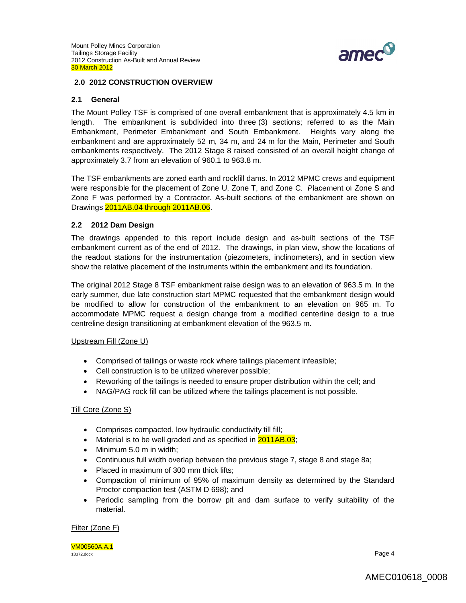

## **2.0 2012 CONSTRUCTION OVERVIEW**

## **2.1 General**

The Mount Polley TSF is comprised of one overall embankment that is approximately 4.5 km in length. The embankment is subdivided into three (3) sections; referred to as the Main Embankment, Perimeter Embankment and South Embankment. Heights vary along the embankment and are approximately 52 m, 34 m, and 24 m for the Main, Perimeter and South embankments respectively. The 2012 Stage 8 raised consisted of an overall height change of approximately 3.7 from an elevation of 960.1 to 963.8 m.

The TSF embankments are zoned earth and rockfill dams. In 2012 MPMC crews and equipment were responsible for the placement of Zone U, Zone T, and Zone C. Placement of Zone S and Zone F was performed by a Contractor. As-built sections of the embankment are shown on Drawings 2011AB.04 through 2011AB.06.

## **2.2 2012 Dam Design**

The drawings appended to this report include design and as-built sections of the TSF embankment current as of the end of 2012. The drawings, in plan view, show the locations of the readout stations for the instrumentation (piezometers, inclinometers), and in section view show the relative placement of the instruments within the embankment and its foundation.

The original 2012 Stage 8 TSF embankment raise design was to an elevation of 963.5 m. In the early summer, due late construction start MPMC requested that the embankment design would be modified to allow for construction of the embankment to an elevation on 965 m. To accommodate MPMC request a design change from a modified centerline design to a true centreline design transitioning at embankment elevation of the 963.5 m.

#### Upstream Fill (Zone U)

- Comprised of tailings or waste rock where tailings placement infeasible;
- Cell construction is to be utilized wherever possible;
- Reworking of the tailings is needed to ensure proper distribution within the cell; and
- NAG/PAG rock fill can be utilized where the tailings placement is not possible.

## Till Core (Zone S)

- Comprises compacted, low hydraulic conductivity till fill;
- Material is to be well graded and as specified in **2011AB.03**;
- Minimum 5.0 m in width;
- Continuous full width overlap between the previous stage 7, stage 8 and stage 8a;
- Placed in maximum of 300 mm thick lifts:
- Compaction of minimum of 95% of maximum density as determined by the Standard Proctor compaction test (ASTM D 698); and
- Periodic sampling from the borrow pit and dam surface to verify suitability of the material.

Filter (Zone F)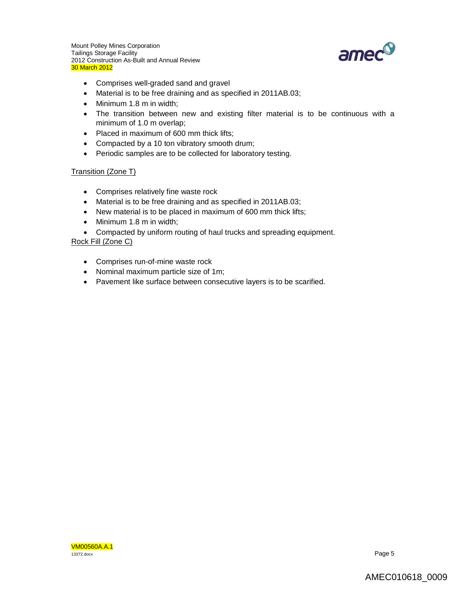

- Comprises well-graded sand and gravel
- Material is to be free draining and as specified in 2011AB.03;
- Minimum 1.8 m in width;
- The transition between new and existing filter material is to be continuous with a minimum of 1.0 m overlap;
- Placed in maximum of 600 mm thick lifts;
- Compacted by a 10 ton vibratory smooth drum;
- Periodic samples are to be collected for laboratory testing.

## Transition (Zone T)

- Comprises relatively fine waste rock
- Material is to be free draining and as specified in 2011AB.03;
- New material is to be placed in maximum of 600 mm thick lifts;
- Minimum 1.8 m in width;
- Compacted by uniform routing of haul trucks and spreading equipment.

## Rock Fill (Zone C)

- Comprises run-of-mine waste rock
- Nominal maximum particle size of 1m;
- Pavement like surface between consecutive layers is to be scarified.

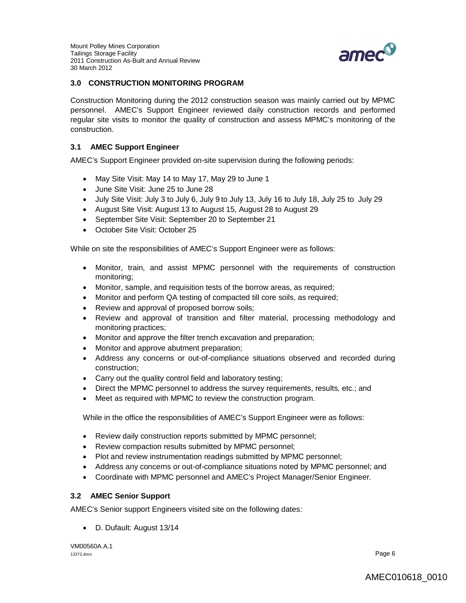

## **3.0 CONSTRUCTION MONITORING PROGRAM**

Construction Monitoring during the 2012 construction season was mainly carried out by MPMC personnel. AMEC's Support Engineer reviewed daily construction records and performed regular site visits to monitor the quality of construction and assess MPMC's monitoring of the construction.

## **3.1 AMEC Support Engineer**

AMEC's Support Engineer provided on-site supervision during the following periods:

- May Site Visit: May 14 to May 17, May 29 to June 1
- June Site Visit: June 25 to June 28
- July Site Visit: July 3 to July 6, July 9 to July 13, July 16 to July 18, July 25 to July 29
- August Site Visit: August 13 to August 15, August 28 to August 29
- September Site Visit: September 20 to September 21
- October Site Visit: October 25

While on site the responsibilities of AMEC's Support Engineer were as follows:

- Monitor, train, and assist MPMC personnel with the requirements of construction monitoring;
- Monitor, sample, and requisition tests of the borrow areas, as required;
- Monitor and perform QA testing of compacted till core soils, as required;
- Review and approval of proposed borrow soils;
- Review and approval of transition and filter material, processing methodology and monitoring practices;
- Monitor and approve the filter trench excavation and preparation;
- Monitor and approve abutment preparation;
- Address any concerns or out-of-compliance situations observed and recorded during construction;
- Carry out the quality control field and laboratory testing;
- Direct the MPMC personnel to address the survey requirements, results, etc.; and
- Meet as required with MPMC to review the construction program.

While in the office the responsibilities of AMEC's Support Engineer were as follows:

- Review daily construction reports submitted by MPMC personnel;
- Review compaction results submitted by MPMC personnel;
- Plot and review instrumentation readings submitted by MPMC personnel;
- Address any concerns or out-of-compliance situations noted by MPMC personnel; and
- Coordinate with MPMC personnel and AMEC's Project Manager/Senior Engineer.

# **3.2 AMEC Senior Support**

AMEC's Senior support Engineers visited site on the following dates:

D. Dufault: August 13/14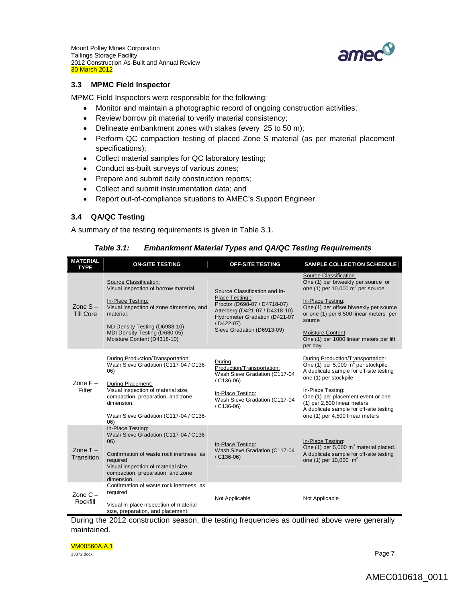Mount Polley Mines Corporation Tailings Storage Facility 2012 Construction As-Built and Annual Review 30 March 2012



## **3.3 MPMC Field Inspector**

MPMC Field Inspectors were responsible for the following:

- Monitor and maintain a photographic record of ongoing construction activities;
- Review borrow pit material to verify material consistency;
- Delineate embankment zones with stakes (every 25 to 50 m);
- Perform QC compaction testing of placed Zone S material (as per material placement specifications);
- Collect material samples for QC laboratory testing;
- Conduct as-built surveys of various zones;
- Prepare and submit daily construction reports;
- Collect and submit instrumentation data; and
- Report out-of-compliance situations to AMEC's Support Engineer.

## **3.4 QA/QC Testing**

A summary of the testing requirements is given in Table 3.1.

## *Table 3.1: Embankment Material Types and QA/QC Testing Requirements*

| <b>MATERIAL</b><br><b>TYPE</b> | <b>ON-SITE TESTING</b>                                                                                                                                                                                                                           | <b>OFF-SITE TESTING</b>                                                                                                                                                                        | <b>SAMPLE COLLECTION SCHEDULE</b>                                                                                                                                                                                                                                                                                      |
|--------------------------------|--------------------------------------------------------------------------------------------------------------------------------------------------------------------------------------------------------------------------------------------------|------------------------------------------------------------------------------------------------------------------------------------------------------------------------------------------------|------------------------------------------------------------------------------------------------------------------------------------------------------------------------------------------------------------------------------------------------------------------------------------------------------------------------|
| Zone $S -$<br><b>Till Core</b> | Source Classification:<br>Visual inspection of borrow material.<br>In-Place Testing:<br>Visual inspection of zone dimension, and<br>material.<br>ND Density Testing (D6938-10)<br>MDI Density Testing (D680-05)<br>Moisture Content (D4318-10)   | Source Classification and In-<br>Place Testing:<br>Proctor (D698-07 / D4718-07)<br>Atterberg (D421-07 / D4318-10)<br>Hydrometer Gradation (D421-07<br>/ D422-07)<br>Sieve Gradation (D6913-09) | Source Classification:<br>One (1) per biweekly per source or<br>one (1) per 10,000 $m^3$ per source<br>In-Place Testing:<br>One (1) per offset biweekly per source<br>or one (1) per 6,500 linear meters per<br>source<br><b>Moisture Content:</b><br>One (1) per 1000 linear meters per lift<br>per day               |
| Zone $F -$<br>Filter           | During Production/Transportation:<br>Wash Sieve Gradation (C117-04 / C136-<br>06)<br>During Placement:<br>Visual inspection of material size,<br>compaction, preparation, and zone<br>dimension.<br>Wash Sieve Gradation (C117-04 / C136-<br>06) | During<br>Production/Transportation:<br>Wash Sieve Gradation (C117-04<br>$/$ C136-06)<br>In-Place Testing:<br>Wash Sieve Gradation (C117-04<br>$/$ C136-06)                                    | During Production/Transportation:<br>One (1) per 5,000 $m^3$ per stockpile<br>A duplicate sample for off-site testing<br>one (1) per stockpile<br>In-Place Testing:<br>One (1) per placement event or one<br>(1) per 2,500 linear meters<br>A duplicate sample for off-site testing<br>one (1) per 4,500 linear meters |
| Zone $T -$<br>Transition       | In-Place Testing:<br>Wash Sieve Gradation (C117-04 / C136-<br>06)<br>Confirmation of waste rock inertness, as<br>required.<br>Visual inspection of material size,<br>compaction, preparation, and zone<br>dimension.                             | In-Place Testing:<br>Wash Sieve Gradation (C117-04<br>$/$ C <sub>136</sub> -06)                                                                                                                | In-Place Testing:<br>One (1) per 5,000 m <sup>3</sup> material placed.<br>A duplicate sample for off-site testing<br>one (1) per 10,000 $m^3$                                                                                                                                                                          |
| Zone $C -$<br>Rockfill         | Confirmation of waste rock inertness, as<br>required.<br>Visual in-place inspection of material<br>size, preparation, and placement.                                                                                                             | Not Applicable                                                                                                                                                                                 | Not Applicable                                                                                                                                                                                                                                                                                                         |

During the 2012 construction season, the testing frequencies as outlined above were generally maintained.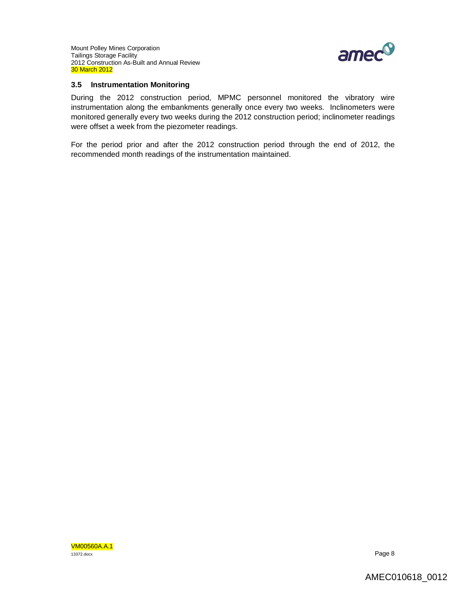

## **3.5 Instrumentation Monitoring**

During the 2012 construction period, MPMC personnel monitored the vibratory wire instrumentation along the embankments generally once every two weeks. Inclinometers were monitored generally every two weeks during the 2012 construction period; inclinometer readings were offset a week from the piezometer readings.

For the period prior and after the 2012 construction period through the end of 2012, the recommended month readings of the instrumentation maintained.

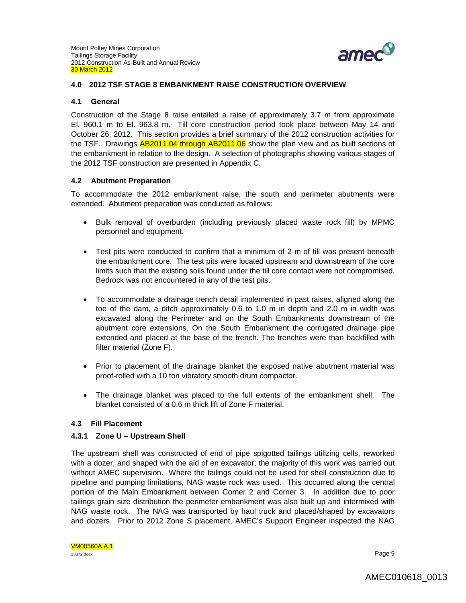

## **4.0 2012 TSF STAGE 8 EMBANKMENT RAISE CONSTRUCTION OVERVIEW**

#### **4.1 General**

Construction of the Stage 8 raise entailed a raise of approximately 3.7 m from approximate El. 960.1 m to El. 963.8 m. Till core construction period took place between May 14 and October 26, 2012. This section provides a brief summary of the 2012 construction activities for the TSF. Drawings AB2011.04 through AB2011.06 show the plan view and as built sections of the embankment in relation to the design. A selection of photographs showing various stages of the 2012 TSF construction are presented in Appendix C.

## **4.2 Abutment Preparation**

To accommodate the 2012 embankment raise, the south and perimeter abutments were extended. Abutment preparation was conducted as follows:

- Bulk removal of overburden (including previously placed waste rock fill) by MPMC personnel and equipment.
- Test pits were conducted to confirm that a minimum of 2 m of till was present beneath the embankment core. The test pits were located upstream and downstream of the core limits such that the existing soils found under the till core contact were not compromised. Bedrock was not encountered in any of the test pits.
- To accommodate a drainage trench detail implemented in past raises, aligned along the toe of the dam, a ditch approximately 0.6 to 1.0 m in depth and 2.0 m in width was excavated along the Perimeter and on the South Embankments downstream of the abutment core extensions. On the South Embankment the corrugated drainage pipe extended and placed at the base of the trench. The trenches were than backfilled with filter material (Zone F).
- Prior to placement of the drainage blanket the exposed native abutment material was proof-rolled with a 10 ton vibratory smooth drum compactor.
- The drainage blanket was placed to the full extents of the embankment shell. The blanket consisted of a 0.6 m thick lift of Zone F material.

## **4.3 Fill Placement**

## **4.3.1 Zone U – Upstream Shell**

The upstream shell was constructed of end of pipe spigotted tailings utilizing cells, reworked with a dozer, and shaped with the aid of en excavator; the majority of this work was carried out without AMEC supervision. Where the tailings could not be used for shell construction due to pipeline and pumping limitations, NAG waste rock was used. This occurred along the central portion of the Main Embankment between Corner 2 and Corner 3. In addition due to poor tailings grain size distribution the perimeter embankment was also built up and intermixed with NAG waste rock. The NAG was transported by haul truck and placed/shaped by excavators and dozers. Prior to 2012 Zone S placement, AMEC's Support Engineer inspected the NAG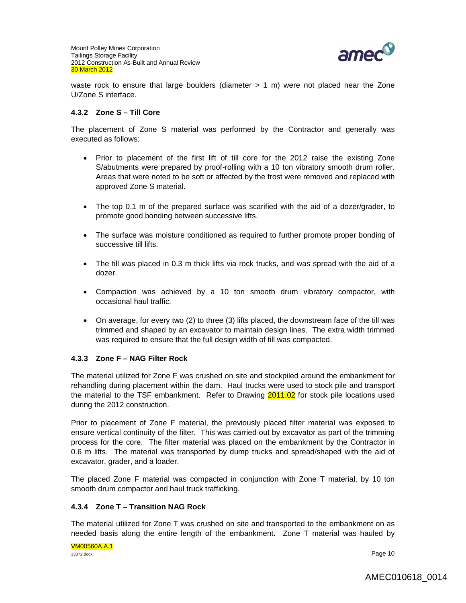

waste rock to ensure that large boulders (diameter  $> 1$  m) were not placed near the Zone U/Zone S interface.

## **4.3.2 Zone S – Till Core**

The placement of Zone S material was performed by the Contractor and generally was executed as follows:

- Prior to placement of the first lift of till core for the 2012 raise the existing Zone S/abutments were prepared by proof-rolling with a 10 ton vibratory smooth drum roller. Areas that were noted to be soft or affected by the frost were removed and replaced with approved Zone S material.
- The top 0.1 m of the prepared surface was scarified with the aid of a dozer/grader, to promote good bonding between successive lifts.
- The surface was moisture conditioned as required to further promote proper bonding of successive till lifts.
- The till was placed in 0.3 m thick lifts via rock trucks, and was spread with the aid of a dozer.
- Compaction was achieved by a 10 ton smooth drum vibratory compactor, with occasional haul traffic.
- On average, for every two (2) to three (3) lifts placed, the downstream face of the till was trimmed and shaped by an excavator to maintain design lines. The extra width trimmed was required to ensure that the full design width of till was compacted.

# **4.3.3 Zone F – NAG Filter Rock**

The material utilized for Zone F was crushed on site and stockpiled around the embankment for rehandling during placement within the dam. Haul trucks were used to stock pile and transport the material to the TSF embankment. Refer to Drawing 2011.02 for stock pile locations used during the 2012 construction.

Prior to placement of Zone F material, the previously placed filter material was exposed to ensure vertical continuity of the filter. This was carried out by excavator as part of the trimming process for the core. The filter material was placed on the embankment by the Contractor in 0.6 m lifts. The material was transported by dump trucks and spread/shaped with the aid of excavator, grader, and a loader.

The placed Zone F material was compacted in conjunction with Zone T material, by 10 ton smooth drum compactor and haul truck trafficking.

## **4.3.4 Zone T – Transition NAG Rock**

The material utilized for Zone T was crushed on site and transported to the embankment on as needed basis along the entire length of the embankment. Zone T material was hauled by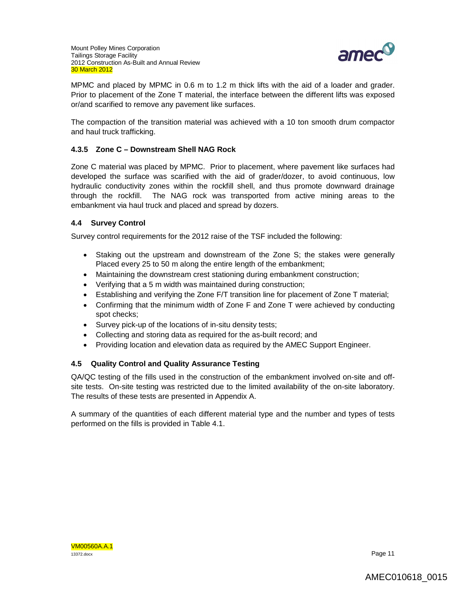

MPMC and placed by MPMC in 0.6 m to 1.2 m thick lifts with the aid of a loader and grader. Prior to placement of the Zone T material, the interface between the different lifts was exposed or/and scarified to remove any pavement like surfaces.

The compaction of the transition material was achieved with a 10 ton smooth drum compactor and haul truck trafficking.

# **4.3.5 Zone C – Downstream Shell NAG Rock**

Zone C material was placed by MPMC. Prior to placement, where pavement like surfaces had developed the surface was scarified with the aid of grader/dozer, to avoid continuous, low hydraulic conductivity zones within the rockfill shell, and thus promote downward drainage through the rockfill. The NAG rock was transported from active mining areas to the embankment via haul truck and placed and spread by dozers.

## **4.4 Survey Control**

Survey control requirements for the 2012 raise of the TSF included the following:

- Staking out the upstream and downstream of the Zone S; the stakes were generally Placed every 25 to 50 m along the entire length of the embankment;
- Maintaining the downstream crest stationing during embankment construction;
- Verifying that a 5 m width was maintained during construction;
- Establishing and verifying the Zone F/T transition line for placement of Zone T material;
- Confirming that the minimum width of Zone F and Zone T were achieved by conducting spot checks;
- Survey pick-up of the locations of in-situ density tests;
- Collecting and storing data as required for the as-built record; and
- Providing location and elevation data as required by the AMEC Support Engineer.

# **4.5 Quality Control and Quality Assurance Testing**

QA/QC testing of the fills used in the construction of the embankment involved on-site and offsite tests. On-site testing was restricted due to the limited availability of the on-site laboratory. The results of these tests are presented in Appendix A.

A summary of the quantities of each different material type and the number and types of tests performed on the fills is provided in Table 4.1.

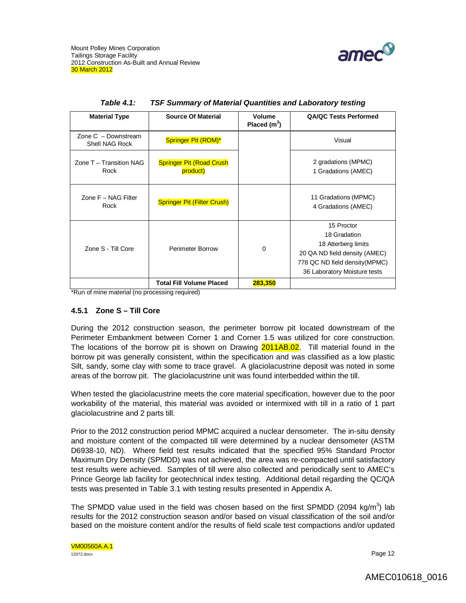

| <b>Material Type</b>                    | <b>Source Of Material</b>                   | Volume<br>Placed $(m^3)$ | <b>QA/QC Tests Performed</b>                                                                                                                         |  |  |
|-----------------------------------------|---------------------------------------------|--------------------------|------------------------------------------------------------------------------------------------------------------------------------------------------|--|--|
| Zone $C -$ Downstream<br>Shell NAG Rock | Springer Pit (ROM)*                         |                          | Visual                                                                                                                                               |  |  |
| Zone T - Transition NAG<br>Rock         | <b>Springer Pit (Road Crush</b><br>product) |                          | 2 gradations (MPMC)<br>1 Gradations (AMEC)                                                                                                           |  |  |
| Zone F - NAG Filter<br>Rock             | <b>Springer Pit (Filter Crush)</b>          |                          | 11 Gradations (MPMC)<br>4 Gradations (AMEC)                                                                                                          |  |  |
| Zone S - Till Core                      | Perimeter Borrow                            | 0                        | 15 Proctor<br>18 Gradation<br>18 Atterberg limits<br>20 QA ND field density (AMEC)<br>778 QC ND field density (MPMC)<br>36 Laboratory Moisture tests |  |  |
|                                         | <b>Total Fill Volume Placed</b>             | 283,350                  |                                                                                                                                                      |  |  |

| <b>Table 4.1:</b> | TSF Summary of Material Quantities and Laboratory testing |  |  |  |  |  |
|-------------------|-----------------------------------------------------------|--|--|--|--|--|
|-------------------|-----------------------------------------------------------|--|--|--|--|--|

\*Run of mine material (no processing required)

## **4.5.1 Zone S – Till Core**

During the 2012 construction season, the perimeter borrow pit located downstream of the Perimeter Embankment between Corner 1 and Corner 1.5 was utilized for core construction. The locations of the borrow pit is shown on Drawing 2011AB.02. Till material found in the borrow pit was generally consistent, within the specification and was classified as a low plastic Silt, sandy, some clay with some to trace gravel. A glaciolacustrine deposit was noted in some areas of the borrow pit. The glaciolacustrine unit was found interbedded within the till.

When tested the glaciolacustrine meets the core material specification, however due to the poor workability of the material, this material was avoided or intermixed with till in a ratio of 1 part glaciolacustrine and 2 parts till.

Prior to the 2012 construction period MPMC acquired a nuclear densometer. The in-situ density and moisture content of the compacted till were determined by a nuclear densometer (ASTM D6938-10, ND). Where field test results indicated that the specified 95% Standard Proctor Maximum Dry Density (SPMDD) was not achieved, the area was re-compacted until satisfactory test results were achieved. Samples of till were also collected and periodically sent to AMEC's Prince George lab facility for geotechnical index testing. Additional detail regarding the QC/QA tests was presented in Table 3.1 with testing results presented in Appendix A.

The SPMDD value used in the field was chosen based on the first SPMDD (2094 kg/m<sup>3</sup>) lab results for the 2012 construction season and/or based on visual classification of the soil and/or based on the moisture content and/or the results of field scale test compactions and/or updated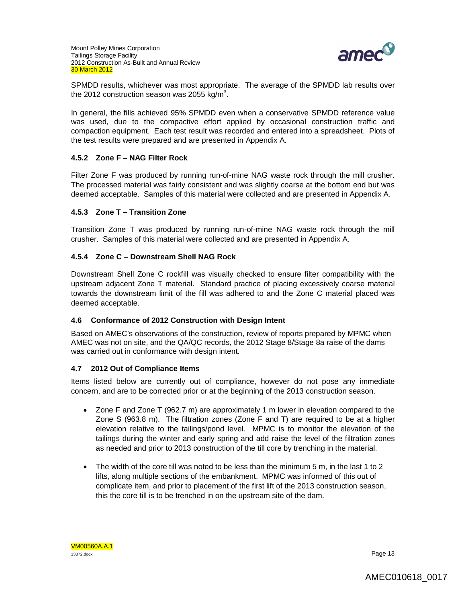

SPMDD results, whichever was most appropriate. The average of the SPMDD lab results over the 2012 construction season was 2055 kg/m<sup>3</sup>.

In general, the fills achieved 95% SPMDD even when a conservative SPMDD reference value was used, due to the compactive effort applied by occasional construction traffic and compaction equipment. Each test result was recorded and entered into a spreadsheet. Plots of the test results were prepared and are presented in Appendix A.

## **4.5.2 Zone F – NAG Filter Rock**

Filter Zone F was produced by running run-of-mine NAG waste rock through the mill crusher. The processed material was fairly consistent and was slightly coarse at the bottom end but was deemed acceptable. Samples of this material were collected and are presented in Appendix A.

## **4.5.3 Zone T – Transition Zone**

Transition Zone T was produced by running run-of-mine NAG waste rock through the mill crusher. Samples of this material were collected and are presented in Appendix A.

## **4.5.4 Zone C – Downstream Shell NAG Rock**

Downstream Shell Zone C rockfill was visually checked to ensure filter compatibility with the upstream adjacent Zone T material. Standard practice of placing excessively coarse material towards the downstream limit of the fill was adhered to and the Zone C material placed was deemed acceptable.

# **4.6 Conformance of 2012 Construction with Design Intent**

Based on AMEC's observations of the construction, review of reports prepared by MPMC when AMEC was not on site, and the QA/QC records, the 2012 Stage 8/Stage 8a raise of the dams was carried out in conformance with design intent.

# **4.7 2012 Out of Compliance Items**

Items listed below are currently out of compliance, however do not pose any immediate concern, and are to be corrected prior or at the beginning of the 2013 construction season.

- Zone F and Zone T (962.7 m) are approximately 1 m lower in elevation compared to the Zone S (963.8 m). The filtration zones (Zone F and T) are required to be at a higher elevation relative to the tailings/pond level. MPMC is to monitor the elevation of the tailings during the winter and early spring and add raise the level of the filtration zones as needed and prior to 2013 construction of the till core by trenching in the material.
- The width of the core till was noted to be less than the minimum 5 m, in the last 1 to 2 lifts, along multiple sections of the embankment. MPMC was informed of this out of complicate item, and prior to placement of the first lift of the 2013 construction season, this the core till is to be trenched in on the upstream site of the dam.

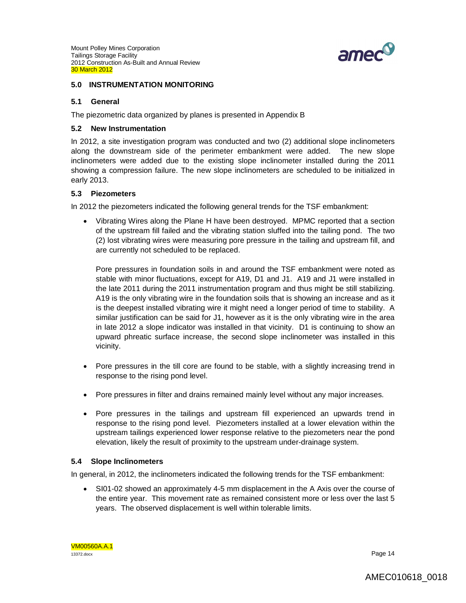

## **5.0 INSTRUMENTATION MONITORING**

### **5.1 General**

The piezometric data organized by planes is presented in Appendix B

#### **5.2 New Instrumentation**

In 2012, a site investigation program was conducted and two (2) additional slope inclinometers along the downstream side of the perimeter embankment were added. The new slope inclinometers were added due to the existing slope inclinometer installed during the 2011 showing a compression failure. The new slope inclinometers are scheduled to be initialized in early 2013.

## **5.3 Piezometers**

In 2012 the piezometers indicated the following general trends for the TSF embankment:

 Vibrating Wires along the Plane H have been destroyed. MPMC reported that a section of the upstream fill failed and the vibrating station sluffed into the tailing pond. The two (2) lost vibrating wires were measuring pore pressure in the tailing and upstream fill, and are currently not scheduled to be replaced.

Pore pressures in foundation soils in and around the TSF embankment were noted as stable with minor fluctuations, except for A19, D1 and J1. A19 and J1 were installed in the late 2011 during the 2011 instrumentation program and thus might be still stabilizing. A19 is the only vibrating wire in the foundation soils that is showing an increase and as it is the deepest installed vibrating wire it might need a longer period of time to stability. A similar justification can be said for J1, however as it is the only vibrating wire in the area in late 2012 a slope indicator was installed in that vicinity. D1 is continuing to show an upward phreatic surface increase, the second slope inclinometer was installed in this vicinity.

- Pore pressures in the till core are found to be stable, with a slightly increasing trend in response to the rising pond level.
- Pore pressures in filter and drains remained mainly level without any major increases.
- Pore pressures in the tailings and upstream fill experienced an upwards trend in response to the rising pond level. Piezometers installed at a lower elevation within the upstream tailings experienced lower response relative to the piezometers near the pond elevation, likely the result of proximity to the upstream under-drainage system.

## **5.4 Slope Inclinometers**

In general, in 2012, the inclinometers indicated the following trends for the TSF embankment:

 SI01-02 showed an approximately 4-5 mm displacement in the A Axis over the course of the entire year. This movement rate as remained consistent more or less over the last 5 years. The observed displacement is well within tolerable limits.

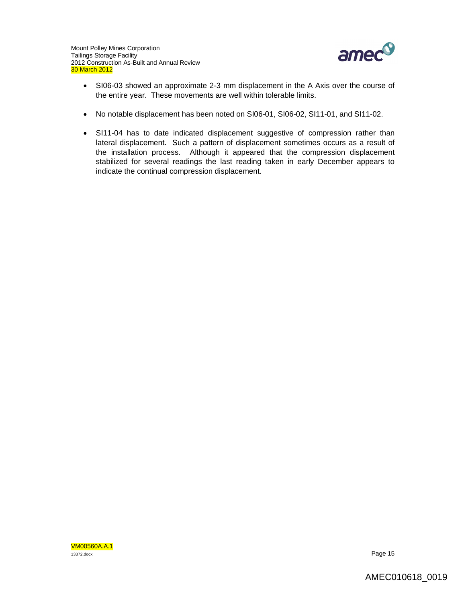

- SI06-03 showed an approximate 2-3 mm displacement in the A Axis over the course of the entire year. These movements are well within tolerable limits.
- No notable displacement has been noted on SI06-01, SI06-02, SI11-01, and SI11-02.
- SI11-04 has to date indicated displacement suggestive of compression rather than lateral displacement. Such a pattern of displacement sometimes occurs as a result of the installation process. Although it appeared that the compression displacement stabilized for several readings the last reading taken in early December appears to indicate the continual compression displacement.

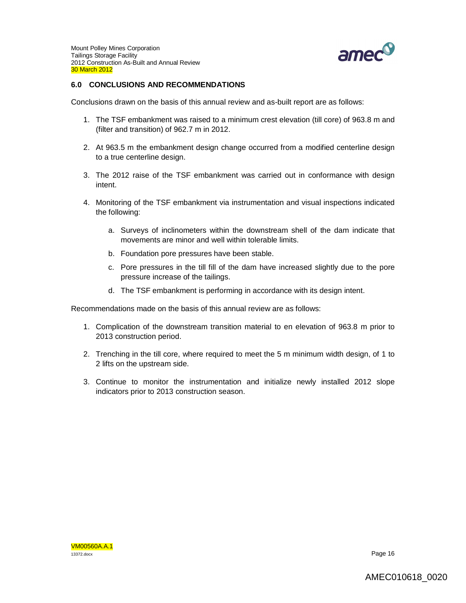

## **6.0 CONCLUSIONS AND RECOMMENDATIONS**

Conclusions drawn on the basis of this annual review and as-built report are as follows:

- 1. The TSF embankment was raised to a minimum crest elevation (till core) of 963.8 m and (filter and transition) of 962.7 m in 2012.
- 2. At 963.5 m the embankment design change occurred from a modified centerline design to a true centerline design.
- 3. The 2012 raise of the TSF embankment was carried out in conformance with design intent.
- 4. Monitoring of the TSF embankment via instrumentation and visual inspections indicated the following:
	- a. Surveys of inclinometers within the downstream shell of the dam indicate that movements are minor and well within tolerable limits.
	- b. Foundation pore pressures have been stable.
	- c. Pore pressures in the till fill of the dam have increased slightly due to the pore pressure increase of the tailings.
	- d. The TSF embankment is performing in accordance with its design intent.

Recommendations made on the basis of this annual review are as follows:

- 1. Complication of the downstream transition material to en elevation of 963.8 m prior to 2013 construction period.
- 2. Trenching in the till core, where required to meet the 5 m minimum width design, of 1 to 2 lifts on the upstream side.
- 3. Continue to monitor the instrumentation and initialize newly installed 2012 slope indicators prior to 2013 construction season.

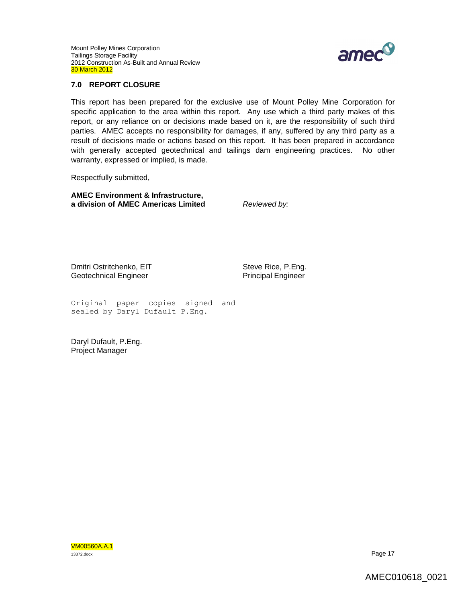

## **7.0 REPORT CLOSURE**

This report has been prepared for the exclusive use of Mount Polley Mine Corporation for specific application to the area within this report. Any use which a third party makes of this report, or any reliance on or decisions made based on it, are the responsibility of such third parties. AMEC accepts no responsibility for damages, if any, suffered by any third party as a result of decisions made or actions based on this report. It has been prepared in accordance with generally accepted geotechnical and tailings dam engineering practices. No other warranty, expressed or implied, is made.

Respectfully submitted,

**AMEC Environment & Infrastructure, a division of AMEC Americas Limited** *Reviewed by:*

Dmitri Ostritchenko, EIT Geotechnical Engineer

Steve Rice, P.Eng. Principal Engineer

Original paper copies signed and sealed by Daryl Dufault P.Eng.

Daryl Dufault, P.Eng. Project Manager

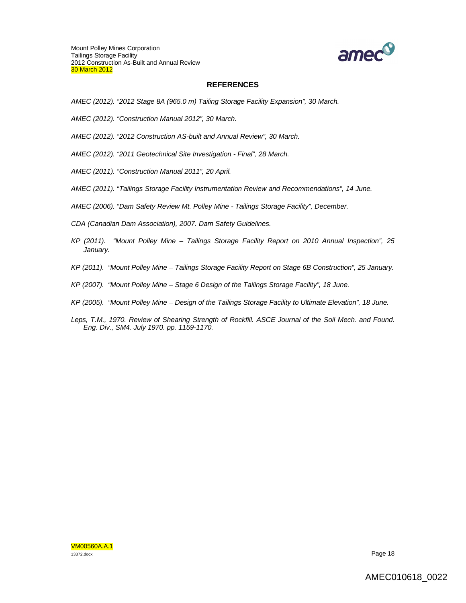

### **REFERENCES**

- *AMEC (2012). "2012 Stage 8A (965.0 m) Tailing Storage Facility Expansion", 30 March.*
- *AMEC (2012). "Construction Manual 2012", 30 March.*
- *AMEC (2012). "2012 Construction AS-built and Annual Review", 30 March.*
- *AMEC (2012). "2011 Geotechnical Site Investigation - Final", 28 March.*
- *AMEC (2011). "Construction Manual 2011", 20 April.*
- *AMEC (2011). "Tailings Storage Facility Instrumentation Review and Recommendations", 14 June.*
- *AMEC (2006). "Dam Safety Review Mt. Polley Mine - Tailings Storage Facility", December.*
- *CDA (Canadian Dam Association), 2007. Dam Safety Guidelines.*
- *KP (2011). "Mount Polley Mine – Tailings Storage Facility Report on 2010 Annual Inspection", 25 January.*
- *KP (2011). "Mount Polley Mine – Tailings Storage Facility Report on Stage 6B Construction", 25 January.*
- *KP (2007). "Mount Polley Mine – Stage 6 Design of the Tailings Storage Facility", 18 June.*
- *KP (2005). "Mount Polley Mine – Design of the Tailings Storage Facility to Ultimate Elevation", 18 June.*
- Leps, T.M., 1970. Review of Shearing Strength of Rockfill. ASCE Journal of the Soil Mech. and Found. *Eng. Div., SM4. July 1970. pp. 1159-1170.*

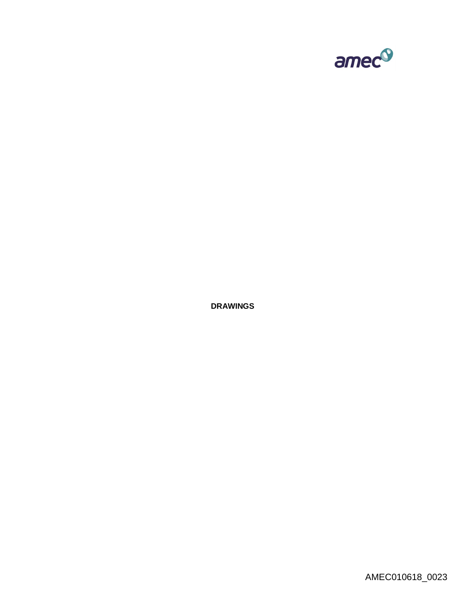

**DRAWINGS**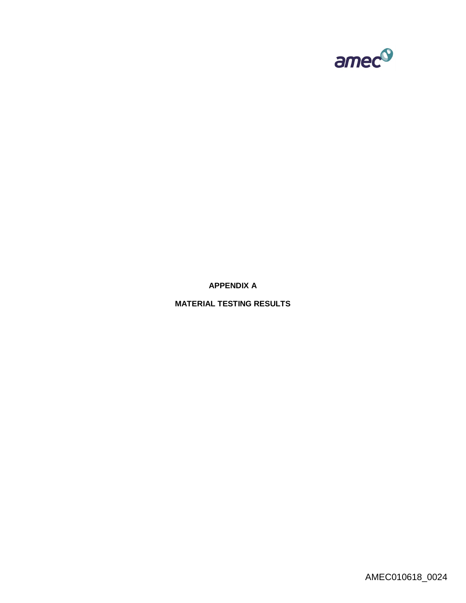

**APPENDIX A**

**MATERIAL TESTING RESULTS**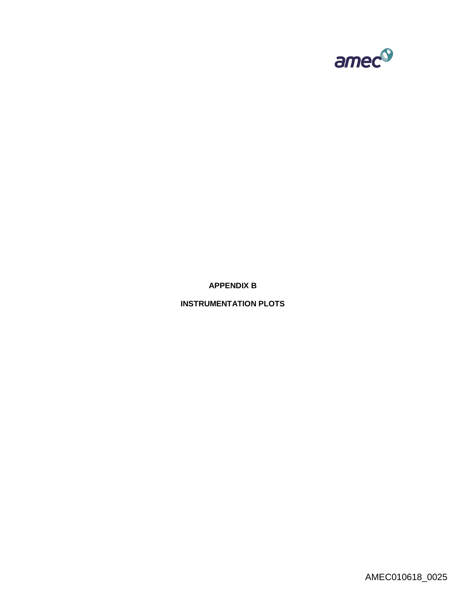

**APPENDIX B**

**INSTRUMENTATION PLOTS**